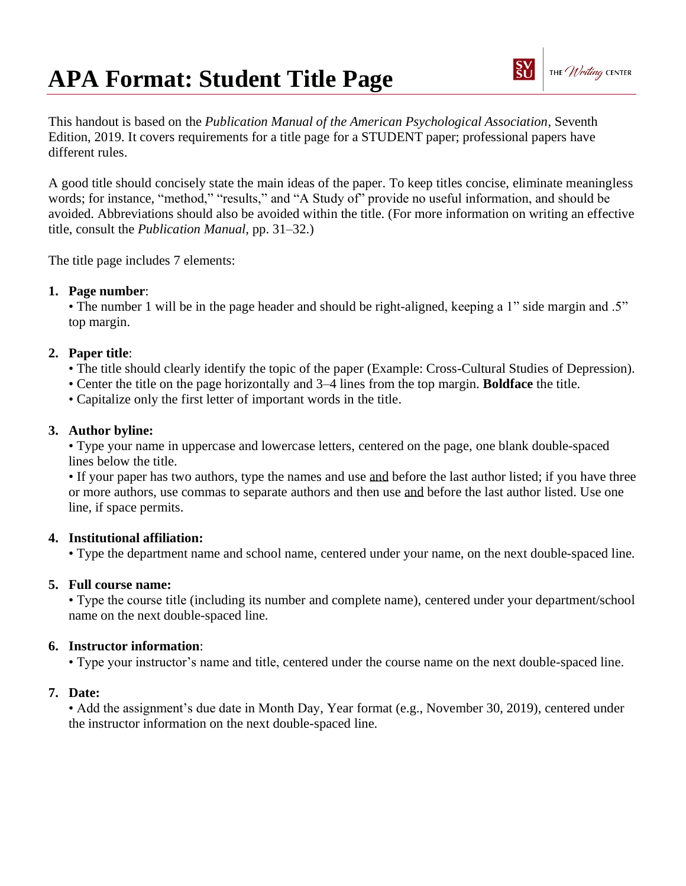# **APA Format: Student Title Page**

This handout is based on the *Publication Manual of the American Psychological Association*, Seventh Edition, 2019. It covers requirements for a title page for a STUDENT paper; professional papers have different rules.

A good title should concisely state the main ideas of the paper. To keep titles concise, eliminate meaningless words; for instance, "method," "results," and "A Study of" provide no useful information, and should be avoided. Abbreviations should also be avoided within the title. (For more information on writing an effective title, consult the *Publication Manual,* pp. 31–32.)

The title page includes 7 elements:

### **1. Page number**:

• The number 1 will be in the page header and should be right-aligned, keeping a 1" side margin and .5" top margin.

### **2. Paper title**:

- The title should clearly identify the topic of the paper (Example: Cross-Cultural Studies of Depression).
- Center the title on the page horizontally and 3–4 lines from the top margin. **Boldface** the title.
- Capitalize only the first letter of important words in the title.

#### **3. Author byline:**

• Type your name in uppercase and lowercase letters, centered on the page, one blank double-spaced lines below the title.

• If your paper has two authors, type the names and use and before the last author listed; if you have three or more authors, use commas to separate authors and then use and before the last author listed. Use one line, if space permits.

### **4. Institutional affiliation:**

• Type the department name and school name, centered under your name, on the next double-spaced line.

### **5. Full course name:**

• Type the course title (including its number and complete name), centered under your department/school name on the next double-spaced line.

### **6. Instructor information**:

• Type your instructor's name and title, centered under the course name on the next double-spaced line.

### **7. Date:**

• Add the assignment's due date in Month Day, Year format (e.g., November 30, 2019), centered under the instructor information on the next double-spaced line.